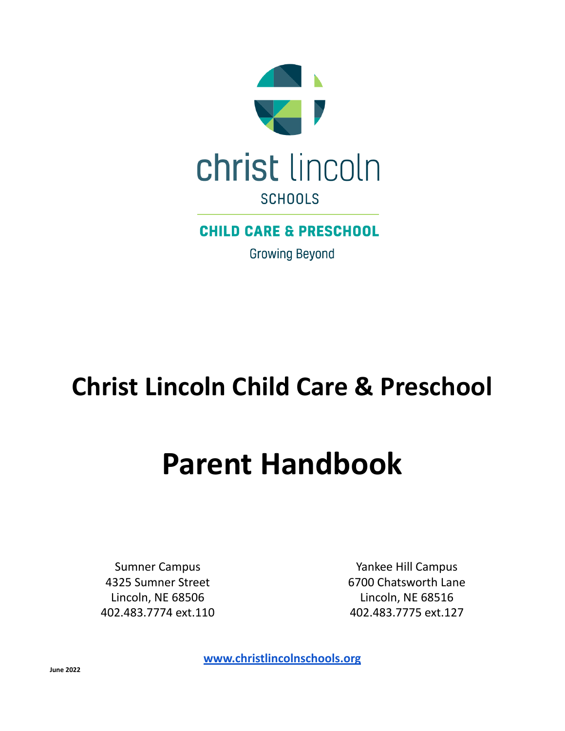

# **CHILD CARE & PRESCHOOL**

**Growing Beyond** 

# **Christ Lincoln Child Care & Preschool**

# **Parent Handbook**

Sumner Campus 4325 Sumner Street Lincoln, NE 68506 402.483.7774 ext.110

Yankee Hill Campus 6700 Chatsworth Lane Lincoln, NE 68516 402.483.7775 ext.127

**[www.christlincolnschools.org](http://www.christlincolnschools.org/)**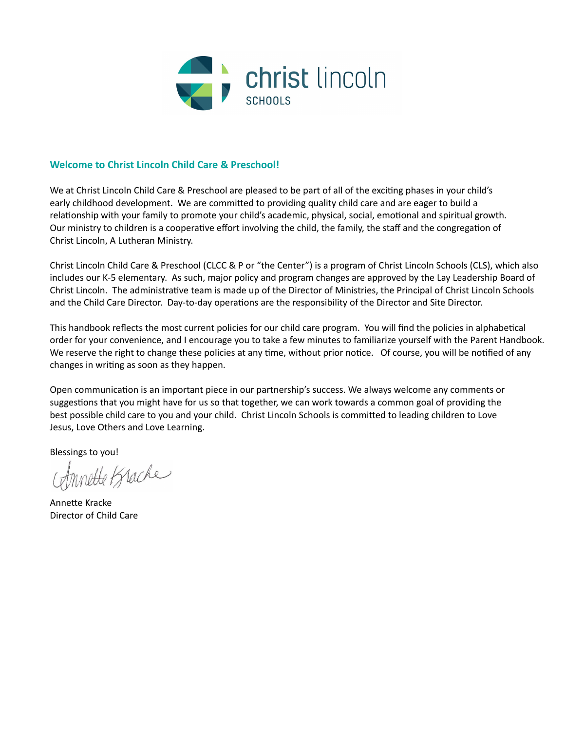

# **Welcome to Christ Lincoln Child Care & Preschool!**

We at Christ Lincoln Child Care & Preschool are pleased to be part of all of the exciting phases in your child's early childhood development. We are committed to providing quality child care and are eager to build a relationship with your family to promote your child's academic, physical, social, emotional and spiritual growth. Our ministry to children is a cooperative effort involving the child, the family, the staff and the congregation of Christ Lincoln, A Lutheran Ministry.

Christ Lincoln Child Care & Preschool (CLCC & P or "the Center") is a program of Christ Lincoln Schools (CLS), which also includes our K-5 elementary. As such, major policy and program changes are approved by the Lay Leadership Board of Christ Lincoln. The administrative team is made up of the Director of Ministries, the Principal of Christ Lincoln Schools and the Child Care Director. Day-to-day operations are the responsibility of the Director and Site Director.

This handbook reflects the most current policies for our child care program. You will find the policies in alphabetical order for your convenience, and I encourage you to take a few minutes to familiarize yourself with the Parent Handbook. We reserve the right to change these policies at any time, without prior notice. Of course, you will be notified of any changes in writing as soon as they happen.

Open communication is an important piece in our partnership's success. We always welcome any comments or suggestions that you might have for us so that together, we can work towards a common goal of providing the best possible child care to you and your child. Christ Lincoln Schools is committed to leading children to Love Jesus, Love Others and Love Learning.

Blessings to you!

Annette Brache

Annette Kracke Director of Child Care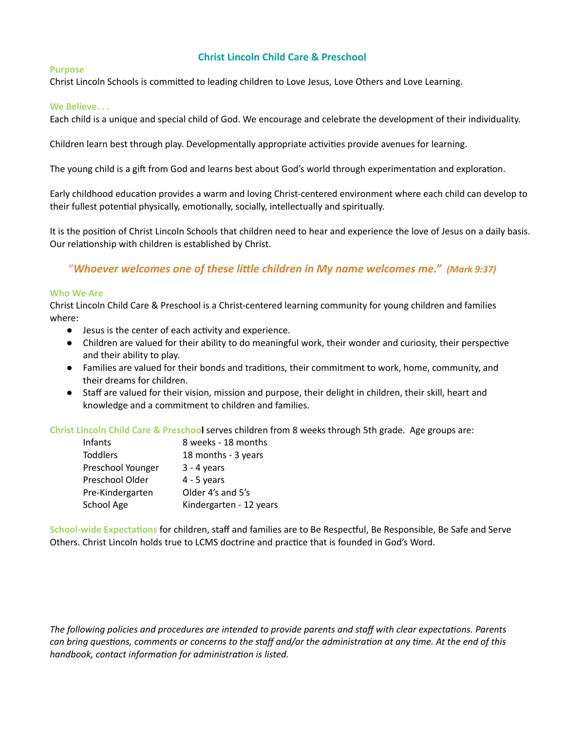# **Christ Lincoln Child Care & Preschool**

#### **Purpose**

Christ Lincoln Schools is committed to leading children to Love Jesus, Love Others and Love Learning.

#### **We Believe. . .**

Each child is a unique and special child of God. We encourage and celebrate the development of their individuality.

Children learn best through play. Developmentally appropriate activities provide avenues for learning.

The young child is a gift from God and learns best about God's world through experimentation and exploration.

Early childhood education provides a warm and loving Christ-centered environment where each child can develop to their fullest potential physically, emotionally, socially, intellectually and spiritually.

It is the position of Christ Lincoln Schools that children need to hear and experience the love of Jesus on a daily basis. Our relationship with children is established by Christ.

# "*Whoever welcomes one of these lile children in My name welcomes me." (Mark 9:37)*

#### **Who We Are**

Christ Lincoln Child Care & Preschool is a Christ-centered learning community for young children and families where:

- Jesus is the center of each activity and experience.
- Children are valued for their ability to do meaningful work, their wonder and curiosity, their perspective and their ability to play.
- Families are valued for their bonds and traditions, their commitment to work, home, community, and their dreams for children.
- Staff are valued for their vision, mission and purpose, their delight in children, their skill, heart and knowledge and a commitment to children and families.

**Christ Lincoln Child Care & Preschool** serves children from 8 weeks through 5th grade. Age groups are:

| Infants           | 8 weeks - 18 months     |
|-------------------|-------------------------|
| <b>Toddlers</b>   | 18 months - 3 years     |
| Preschool Younger | $3 - 4$ years           |
| Preschool Older   | $4 - 5$ years           |
| Pre-Kindergarten  | Older 4's and 5's       |
| School Age        | Kindergarten - 12 years |

**School-wide Expectations for children, staff and families are to Be Respectful, Be Responsible, Be Safe and Serve** Others. Christ Lincoln holds true to LCMS doctrine and pracce that is founded in God's Word.

*The following policies and procedures are intended to provide parents and staff with clear expectaons. Parents* can bring questions, comments or concerns to the staff and/or the administration at any time. At the end of this *handbook, contact information for administration is listed.*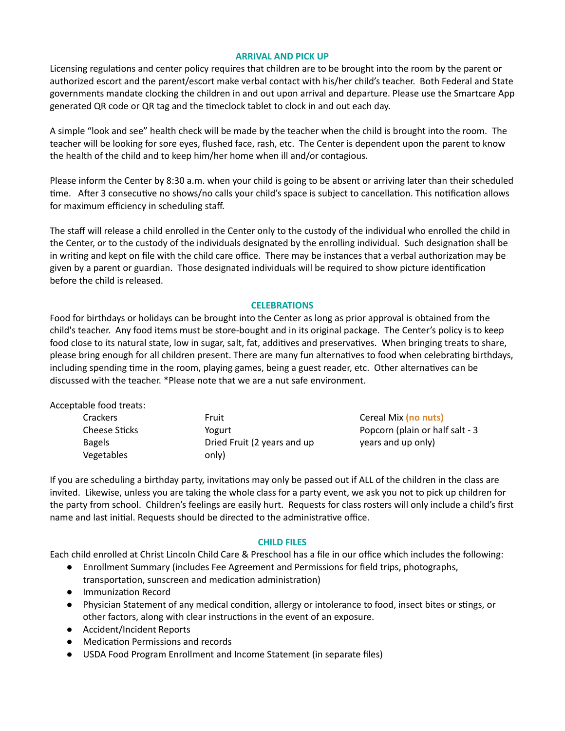#### **ARRIVAL AND PICK UP**

Licensing regulations and center policy requires that children are to be brought into the room by the parent or authorized escort and the parent/escort make verbal contact with his/her child's teacher. Both Federal and State governments mandate clocking the children in and out upon arrival and departure. Please use the Smartcare App generated QR code or QR tag and the timeclock tablet to clock in and out each day.

A simple "look and see" health check will be made by the teacher when the child is brought into the room. The teacher will be looking for sore eyes, flushed face, rash, etc. The Center is dependent upon the parent to know the health of the child and to keep him/her home when ill and/or contagious.

Please inform the Center by 8:30 a.m. when your child is going to be absent or arriving later than their scheduled time. After 3 consecutive no shows/no calls your child's space is subject to cancellation. This notification allows for maximum efficiency in scheduling staff.

The staff will release a child enrolled in the Center only to the custody of the individual who enrolled the child in the Center, or to the custody of the individuals designated by the enrolling individual. Such designation shall be in writing and kept on file with the child care office. There may be instances that a verbal authorization may be given by a parent or guardian. Those designated individuals will be required to show picture identification before the child is released.

# **CELEBRATIONS**

Food for birthdays or holidays can be brought into the Center as long as prior approval is obtained from the child's teacher. Any food items must be store-bought and in its original package. The Center's policy is to keep food close to its natural state, low in sugar, salt, fat, additives and preservatives. When bringing treats to share, please bring enough for all children present. There are many fun alternatives to food when celebrating birthdays, including spending time in the room, playing games, being a guest reader, etc. Other alternatives can be discussed with the teacher. \*Please note that we are a nut safe environment.

#### Acceptable food treats:

| <b>Crackers</b> | Fruit                       | Cereal Mix (no nuts)            |
|-----------------|-----------------------------|---------------------------------|
| Cheese Sticks   | Yogurt                      | Popcorn (plain or half salt - 3 |
| <b>Bagels</b>   | Dried Fruit (2 years and up | years and up only)              |
| Vegetables      | only)                       |                                 |

If you are scheduling a birthday party, invitations may only be passed out if ALL of the children in the class are invited. Likewise, unless you are taking the whole class for a party event, we ask you not to pick up children for the party from school. Children's feelings are easily hurt. Requests for class rosters will only include a child's first name and last initial. Requests should be directed to the administrative office.

#### **CHILD FILES**

Each child enrolled at Christ Lincoln Child Care & Preschool has a file in our office which includes the following:

- Enrollment Summary (includes Fee Agreement and Permissions for field trips, photographs, transportation, sunscreen and medication administration)
- Immunization Record
- Physician Statement of any medical condition, allergy or intolerance to food, insect bites or stings, or other factors, along with clear instructions in the event of an exposure.
- Accident/Incident Reports
- Medication Permissions and records
- USDA Food Program Enrollment and Income Statement (in separate files)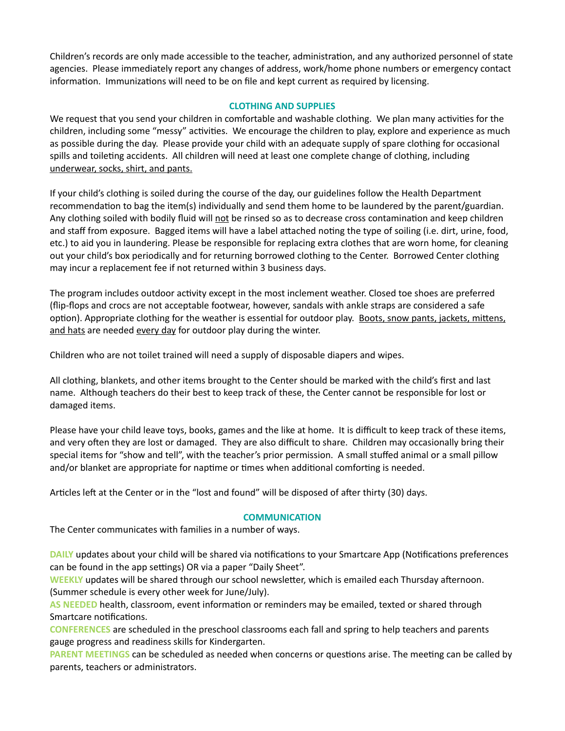Children's records are only made accessible to the teacher, administration, and any authorized personnel of state agencies. Please immediately report any changes of address, work/home phone numbers or emergency contact information. Immunizations will need to be on file and kept current as required by licensing.

## **CLOTHING AND SUPPLIES**

We request that you send your children in comfortable and washable clothing. We plan many activities for the children, including some "messy" activities. We encourage the children to play, explore and experience as much as possible during the day. Please provide your child with an adequate supply of spare clothing for occasional spills and toileting accidents. All children will need at least one complete change of clothing, including underwear, socks, shirt, and pants.

If your child's clothing is soiled during the course of the day, our guidelines follow the Health Department recommendation to bag the item(s) individually and send them home to be laundered by the parent/guardian. Any clothing soiled with bodily fluid will not be rinsed so as to decrease cross contamination and keep children and staff from exposure. Bagged items will have a label attached noting the type of soiling (i.e. dirt, urine, food, etc.) to aid you in laundering. Please be responsible for replacing extra clothes that are worn home, for cleaning out your child's box periodically and for returning borrowed clothing to the Center. Borrowed Center clothing may incur a replacement fee if not returned within 3 business days.

The program includes outdoor activity except in the most inclement weather. Closed toe shoes are preferred (flip-flops and crocs are not acceptable footwear, however, sandals with ankle straps are considered a safe option). Appropriate clothing for the weather is essential for outdoor play. Boots, snow pants, jackets, mittens, and hats are needed every day for outdoor play during the winter.

Children who are not toilet trained will need a supply of disposable diapers and wipes.

All clothing, blankets, and other items brought to the Center should be marked with the child's first and last name. Although teachers do their best to keep track of these, the Center cannot be responsible for lost or damaged items.

Please have your child leave toys, books, games and the like at home. It is difficult to keep track of these items, and very often they are lost or damaged. They are also difficult to share. Children may occasionally bring their special items for "show and tell", with the teacher's prior permission. A small stuffed animal or a small pillow and/or blanket are appropriate for naptime or times when additional comforting is needed.

Articles left at the Center or in the "lost and found" will be disposed of after thirty (30) days.

#### **COMMUNICATION**

The Center communicates with families in a number of ways.

**DAILY** updates about your child will be shared via notifications to your Smartcare App (Notifications preferences can be found in the app settings) OR via a paper "Daily Sheet".

**WEEKLY** updates will be shared through our school newsletter, which is emailed each Thursday afternoon. (Summer schedule is every other week for June/July).

AS NEEDED health, classroom, event information or reminders may be emailed, texted or shared through Smartcare notifications.

**CONFERENCES** are scheduled in the preschool classrooms each fall and spring to help teachers and parents gauge progress and readiness skills for Kindergarten.

**PARENT MEETINGS** can be scheduled as needed when concerns or questions arise. The meeting can be called by parents, teachers or administrators.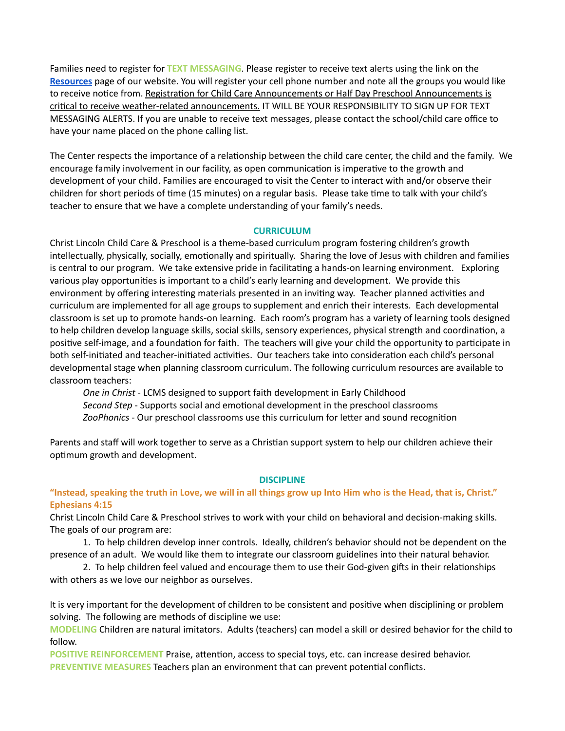Families need to register for **TEXT MESSAGING**. Please register to receive text alerts using the link on the **[Resources](https://www.christlincolnschools.org/resources/)** page of our website. You will register your cell phone number and note all the groups you would like to receive notice from. Registration for Child Care Announcements or Half Day Preschool Announcements is critical to receive weather-related announcements. IT WILL BE YOUR RESPONSIBILITY TO SIGN UP FOR TEXT MESSAGING ALERTS. If you are unable to receive text messages, please contact the school/child care office to have your name placed on the phone calling list.

The Center respects the importance of a relationship between the child care center, the child and the family. We encourage family involvement in our facility, as open communication is imperative to the growth and development of your child. Families are encouraged to visit the Center to interact with and/or observe their children for short periods of time (15 minutes) on a regular basis. Please take time to talk with your child's teacher to ensure that we have a complete understanding of your family's needs.

#### **CURRICULUM**

Christ Lincoln Child Care & Preschool is a theme-based curriculum program fostering children's growth intellectually, physically, socially, emotionally and spiritually. Sharing the love of Jesus with children and families is central to our program. We take extensive pride in facilitating a hands-on learning environment. Exploring various play opportunities is important to a child's early learning and development. We provide this environment by offering interesting materials presented in an inviting way. Teacher planned activities and curriculum are implemented for all age groups to supplement and enrich their interests. Each developmental classroom is set up to promote hands-on learning. Each room's program has a variety of learning tools designed to help children develop language skills, social skills, sensory experiences, physical strength and coordination, a positive self-image, and a foundation for faith. The teachers will give your child the opportunity to participate in both self-initiated and teacher-initiated activities. Our teachers take into consideration each child's personal developmental stage when planning classroom curriculum. The following curriculum resources are available to classroom teachers:

*One in Christ* - LCMS designed to support faith development in Early Childhood *Second Step* - Supports social and emotional development in the preschool classrooms ZooPhonics - Our preschool classrooms use this curriculum for letter and sound recognition

Parents and staff will work together to serve as a Christian support system to help our children achieve their optimum growth and development.

#### **DISCIPLINE**

## "Instead, speaking the truth in Love, we will in all things grow up Into Him who is the Head, that is, Christ." **Ephesians 4:15**

Christ Lincoln Child Care & Preschool strives to work with your child on behavioral and decision-making skills. The goals of our program are:

1. To help children develop inner controls. Ideally, children's behavior should not be dependent on the presence of an adult. We would like them to integrate our classroom guidelines into their natural behavior.

2. To help children feel valued and encourage them to use their God-given gifts in their relationships with others as we love our neighbor as ourselves.

It is very important for the development of children to be consistent and positive when disciplining or problem solving. The following are methods of discipline we use:

**MODELING** Children are natural imitators. Adults (teachers) can model a skill or desired behavior for the child to follow.

**POSITIVE REINFORCEMENT Praise, attention, access to special toys, etc. can increase desired behavior. PREVENTIVE MEASURES** Teachers plan an environment that can prevent potential conflicts.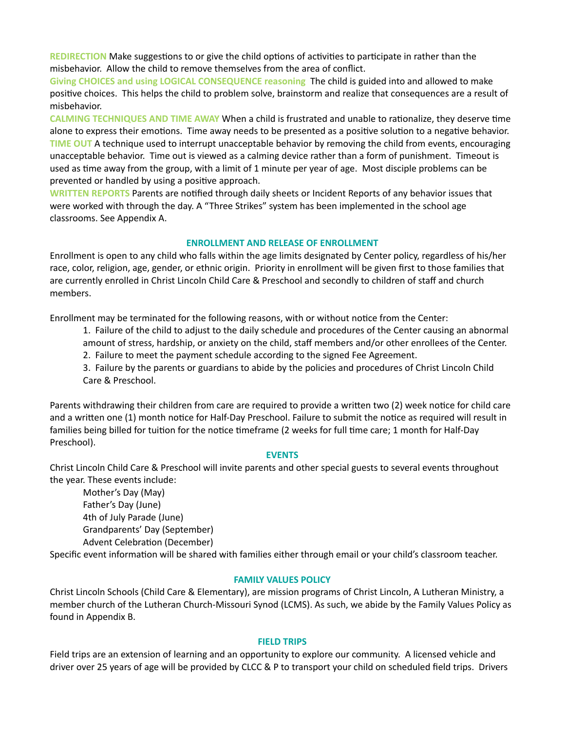**REDIRECTION** Make suggestions to or give the child options of activities to participate in rather than the misbehavior. Allow the child to remove themselves from the area of conflict.

**Giving CHOICES and using LOGICAL CONSEQUENCE reasoning** The child is guided into and allowed to make positive choices. This helps the child to problem solve, brainstorm and realize that consequences are a result of misbehavior.

**CALMING TECHNIQUES AND TIME AWAY** When a child is frustrated and unable to rationalize, they deserve time alone to express their emotions. Time away needs to be presented as a positive solution to a negative behavior. **TIME OUT** A technique used to interrupt unacceptable behavior by removing the child from events, encouraging unacceptable behavior. Time out is viewed as a calming device rather than a form of punishment. Timeout is used as time away from the group, with a limit of 1 minute per year of age. Most disciple problems can be prevented or handled by using a positive approach.

**WRITTEN REPORTS** Parents are nofied through daily sheets or Incident Reports of any behavior issues that were worked with through the day. A "Three Strikes" system has been implemented in the school age classrooms. See Appendix A.

#### **ENROLLMENT AND RELEASE OF ENROLLMENT**

Enrollment is open to any child who falls within the age limits designated by Center policy, regardless of his/her race, color, religion, age, gender, or ethnic origin. Priority in enrollment will be given first to those families that are currently enrolled in Christ Lincoln Child Care & Preschool and secondly to children of staff and church members.

Enrollment may be terminated for the following reasons, with or without notice from the Center:

1. Failure of the child to adjust to the daily schedule and procedures of the Center causing an abnormal amount of stress, hardship, or anxiety on the child, staff members and/or other enrollees of the Center.

2. Failure to meet the payment schedule according to the signed Fee Agreement.

3. Failure by the parents or guardians to abide by the policies and procedures of Christ Lincoln Child Care & Preschool.

Parents withdrawing their children from care are required to provide a written two (2) week notice for child care and a written one (1) month notice for Half-Day Preschool. Failure to submit the notice as required will result in families being billed for tuition for the notice timeframe (2 weeks for full time care; 1 month for Half-Day Preschool).

#### **EVENTS**

Christ Lincoln Child Care & Preschool will invite parents and other special guests to several events throughout the year. These events include:

Mother's Day (May) Father's Day (June) 4th of July Parade (June) Grandparents' Day (September) Advent Celebration (December)

Specific event information will be shared with families either through email or your child's classroom teacher.

#### **FAMILY VALUES POLICY**

Christ Lincoln Schools (Child Care & Elementary), are mission programs of Christ Lincoln, A Lutheran Ministry, a member church of the Lutheran Church-Missouri Synod (LCMS). As such, we abide by the Family Values Policy as found in Appendix B.

#### **FIELD TRIPS**

Field trips are an extension of learning and an opportunity to explore our community. A licensed vehicle and driver over 25 years of age will be provided by CLCC & P to transport your child on scheduled field trips. Drivers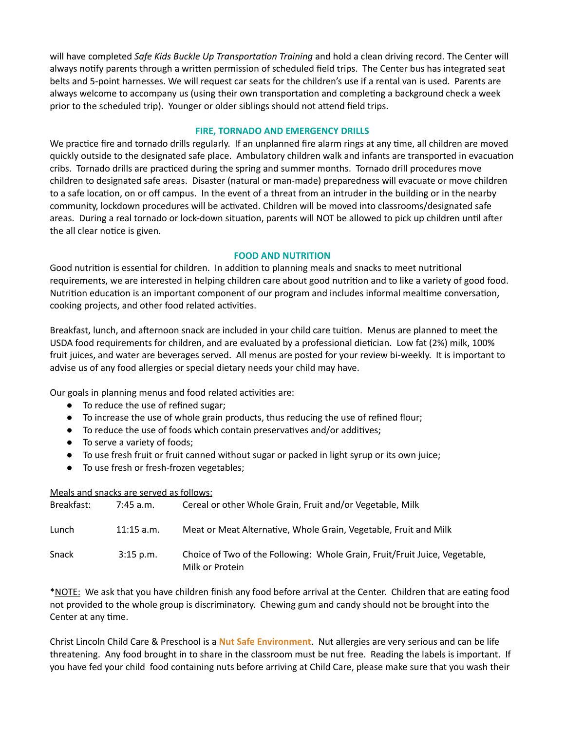will have completed *Safe Kids Buckle Up Transportation Training* and hold a clean driving record. The Center will always notify parents through a written permission of scheduled field trips. The Center bus has integrated seat belts and 5-point harnesses. We will request car seats for the children's use if a rental van is used. Parents are always welcome to accompany us (using their own transportation and completing a background check a week prior to the scheduled trip). Younger or older siblings should not attend field trips.

#### **FIRE, TORNADO AND EMERGENCY DRILLS**

We practice fire and tornado drills regularly. If an unplanned fire alarm rings at any time, all children are moved quickly outside to the designated safe place. Ambulatory children walk and infants are transported in evacuation cribs. Tornado drills are practiced during the spring and summer months. Tornado drill procedures move children to designated safe areas. Disaster (natural or man-made) preparedness will evacuate or move children to a safe location, on or off campus. In the event of a threat from an intruder in the building or in the nearby community, lockdown procedures will be activated. Children will be moved into classrooms/designated safe areas. During a real tornado or lock-down situation, parents will NOT be allowed to pick up children until after the all clear notice is given.

# **FOOD AND NUTRITION**

Good nutrition is essential for children. In addition to planning meals and snacks to meet nutritional requirements, we are interested in helping children care about good nutrition and to like a variety of good food. Nutrition education is an important component of our program and includes informal mealtime conversation, cooking projects, and other food related activities.

Breakfast, lunch, and afternoon snack are included in your child care tuition. Menus are planned to meet the USDA food requirements for children, and are evaluated by a professional dietician. Low fat (2%) milk, 100% fruit juices, and water are beverages served. All menus are posted for your review bi-weekly. It is important to advise us of any food allergies or special dietary needs your child may have.

Our goals in planning menus and food related activities are:

- To reduce the use of refined sugar;
- To increase the use of whole grain products, thus reducing the use of refined flour;
- To reduce the use of foods which contain preservatives and/or additives;
- To serve a variety of foods;
- To use fresh fruit or fruit canned without sugar or packed in light syrup or its own juice;
- To use fresh or fresh-frozen vegetables;

#### Meals and snacks are served as follows:

| Breakfast: | $7:45$ a.m.  | Cereal or other Whole Grain, Fruit and/or Vegetable, Milk                                     |
|------------|--------------|-----------------------------------------------------------------------------------------------|
| Lunch      | $11:15$ a.m. | Meat or Meat Alternative, Whole Grain, Vegetable, Fruit and Milk                              |
| Snack      | $3:15$ p.m.  | Choice of Two of the Following: Whole Grain, Fruit/Fruit Juice, Vegetable,<br>Milk or Protein |

\*NOTE: We ask that you have children finish any food before arrival at the Center. Children that are eating food not provided to the whole group is discriminatory. Chewing gum and candy should not be brought into the Center at any time.

Christ Lincoln Child Care & Preschool is a **Nut Safe Environment**. Nut allergies are very serious and can be life threatening. Any food brought in to share in the classroom must be nut free. Reading the labels is important. If you have fed your child food containing nuts before arriving at Child Care, please make sure that you wash their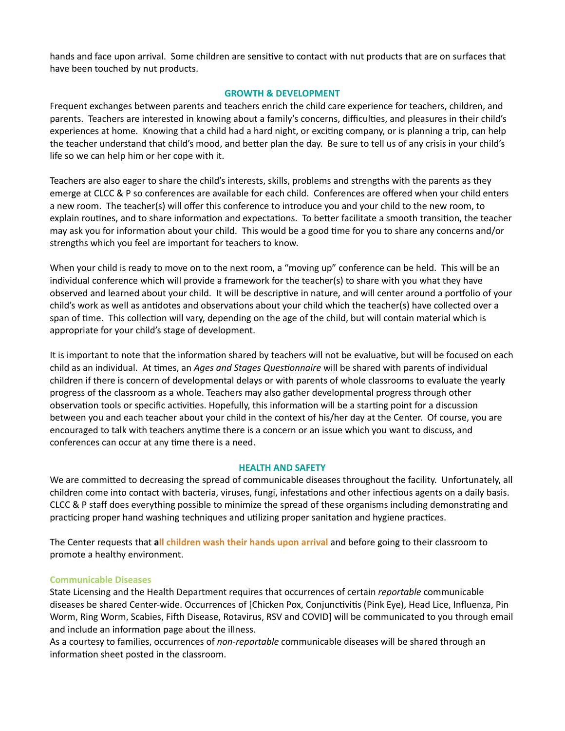hands and face upon arrival. Some children are sensitive to contact with nut products that are on surfaces that have been touched by nut products.

#### **GROWTH & DEVELOPMENT**

Frequent exchanges between parents and teachers enrich the child care experience for teachers, children, and parents. Teachers are interested in knowing about a family's concerns, difficulties, and pleasures in their child's experiences at home. Knowing that a child had a hard night, or exciting company, or is planning a trip, can help the teacher understand that child's mood, and better plan the day. Be sure to tell us of any crisis in your child's life so we can help him or her cope with it.

Teachers are also eager to share the child's interests, skills, problems and strengths with the parents as they emerge at CLCC & P so conferences are available for each child. Conferences are offered when your child enters a new room. The teacher(s) will offer this conference to introduce you and your child to the new room, to explain routines, and to share information and expectations. To better facilitate a smooth transition, the teacher may ask you for information about your child. This would be a good time for you to share any concerns and/or strengths which you feel are important for teachers to know.

When your child is ready to move on to the next room, a "moving up" conference can be held. This will be an individual conference which will provide a framework for the teacher(s) to share with you what they have observed and learned about your child. It will be descriptive in nature, and will center around a portfolio of your child's work as well as antidotes and observations about your child which the teacher(s) have collected over a span of time. This collection will vary, depending on the age of the child, but will contain material which is appropriate for your child's stage of development.

It is important to note that the information shared by teachers will not be evaluative, but will be focused on each child as an individual. At times, an *Ages and Stages Questionnaire* will be shared with parents of individual children if there is concern of developmental delays or with parents of whole classrooms to evaluate the yearly progress of the classroom as a whole. Teachers may also gather developmental progress through other observation tools or specific activities. Hopefully, this information will be a starting point for a discussion between you and each teacher about your child in the context of his/her day at the Center. Of course, you are encouraged to talk with teachers anytime there is a concern or an issue which you want to discuss, and conferences can occur at any time there is a need.

#### **HEALTH AND SAFETY**

We are committed to decreasing the spread of communicable diseases throughout the facility. Unfortunately, all children come into contact with bacteria, viruses, fungi, infestations and other infectious agents on a daily basis. CLCC & P staff does everything possible to minimize the spread of these organisms including demonstrating and practicing proper hand washing techniques and utilizing proper sanitation and hygiene practices.

The Center requests that **all children wash their hands upon arrival** and before going to their classroom to promote a healthy environment.

#### **Communicable Diseases**

State Licensing and the Health Department requires that occurrences of certain *reportable* communicable diseases be shared Center-wide. Occurrences of [Chicken Pox, Conjunctivitis (Pink Eye), Head Lice, Influenza, Pin Worm, Ring Worm, Scabies, Fifth Disease, Rotavirus, RSV and COVID] will be communicated to you through email and include an information page about the illness.

As a courtesy to families, occurrences of *non-reportable* communicable diseases will be shared through an information sheet posted in the classroom.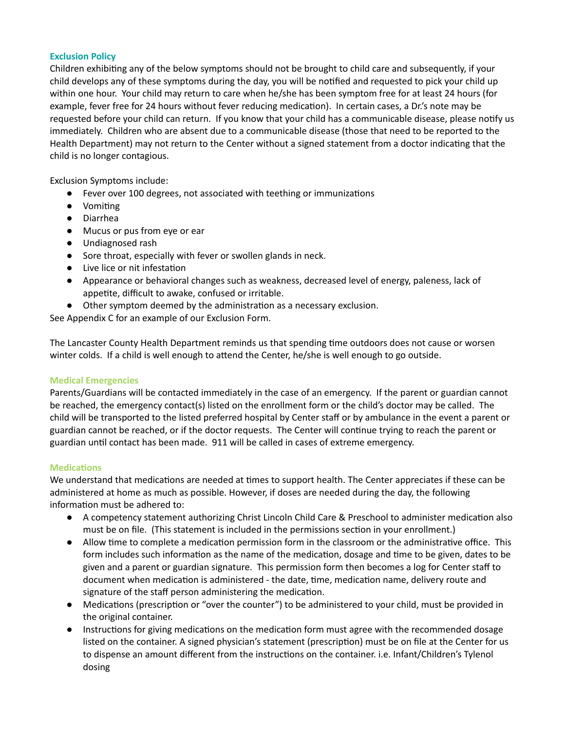# **Exclusion Policy**

Children exhibiting any of the below symptoms should not be brought to child care and subsequently, if your child develops any of these symptoms during the day, you will be nofied and requested to pick your child up within one hour. Your child may return to care when he/she has been symptom free for at least 24 hours (for example, fever free for 24 hours without fever reducing medication). In certain cases, a Dr.'s note may be requested before your child can return. If you know that your child has a communicable disease, please notify us immediately. Children who are absent due to a communicable disease (those that need to be reported to the Health Department) may not return to the Center without a signed statement from a doctor indicating that the child is no longer contagious.

Exclusion Symptoms include:

- Fever over 100 degrees, not associated with teething or immunizations
- Vomiting
- Diarrhea
- Mucus or pus from eye or ear
- Undiagnosed rash
- Sore throat, especially with fever or swollen glands in neck.
- Live lice or nit infestation
- Appearance or behavioral changes such as weakness, decreased level of energy, paleness, lack of appetite, difficult to awake, confused or irritable.
- Other symptom deemed by the administration as a necessary exclusion.

See Appendix C for an example of our Exclusion Form.

The Lancaster County Health Department reminds us that spending time outdoors does not cause or worsen winter colds. If a child is well enough to attend the Center, he/she is well enough to go outside.

#### **Medical Emergencies**

Parents/Guardians will be contacted immediately in the case of an emergency. If the parent or guardian cannot be reached, the emergency contact(s) listed on the enrollment form or the child's doctor may be called. The child will be transported to the listed preferred hospital by Center staff or by ambulance in the event a parent or guardian cannot be reached, or if the doctor requests. The Center will continue trying to reach the parent or guardian until contact has been made. 911 will be called in cases of extreme emergency.

#### **Medications**

We understand that medications are needed at times to support health. The Center appreciates if these can be administered at home as much as possible. However, if doses are needed during the day, the following information must be adhered to:

- A competency statement authorizing Christ Lincoln Child Care & Preschool to administer medication also must be on file. (This statement is included in the permissions section in your enrollment.)
- Allow time to complete a medication permission form in the classroom or the administrative office. This form includes such information as the name of the medication, dosage and time to be given, dates to be given and a parent or guardian signature. This permission form then becomes a log for Center staff to document when medication is administered - the date, time, medication name, delivery route and signature of the staff person administering the medication.
- Medications (prescription or "over the counter") to be administered to your child, must be provided in the original container.
- Instructions for giving medications on the medication form must agree with the recommended dosage listed on the container. A signed physician's statement (prescription) must be on file at the Center for us to dispense an amount different from the instructions on the container. i.e. Infant/Children's Tylenol dosing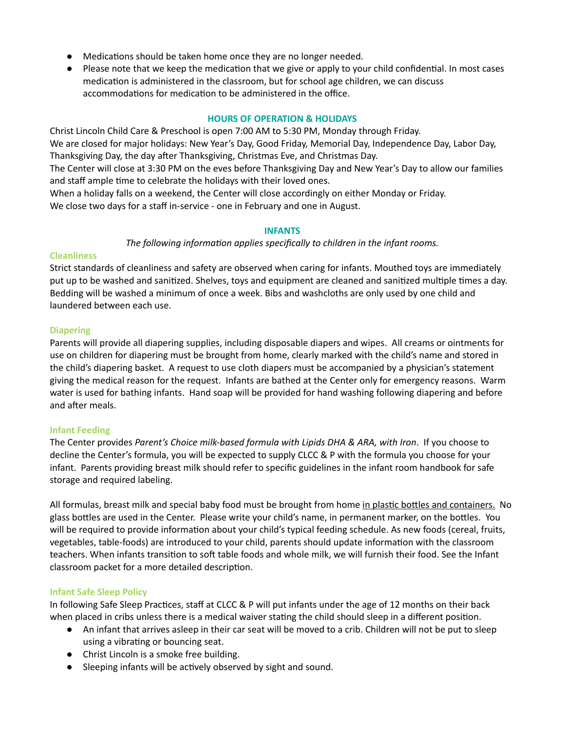- Medications should be taken home once they are no longer needed.
- Please note that we keep the medication that we give or apply to your child confidential. In most cases medication is administered in the classroom, but for school age children, we can discuss accommodations for medication to be administered in the office.

#### **HOURS OF OPERATION & HOLIDAYS**

Christ Lincoln Child Care & Preschool is open 7:00 AM to 5:30 PM, Monday through Friday. We are closed for major holidays: New Year's Day, Good Friday, Memorial Day, Independence Day, Labor Day, Thanksgiving Day, the day after Thanksgiving, Christmas Eve, and Christmas Day. The Center will close at 3:30 PM on the eves before Thanksgiving Day and New Year's Day to allow our families and staff ample time to celebrate the holidays with their loved ones. When a holiday falls on a weekend, the Center will close accordingly on either Monday or Friday. We close two days for a staff in-service - one in February and one in August.

#### **INFANTS**

*The following information applies specifically* to *children in* the *infant rooms.* 

#### **Cleanliness**

Strict standards of cleanliness and safety are observed when caring for infants. Mouthed toys are immediately put up to be washed and sanitized. Shelves, toys and equipment are cleaned and sanitized multiple times a day. Bedding will be washed a minimum of once a week. Bibs and washcloths are only used by one child and laundered between each use.

#### **Diapering**

Parents will provide all diapering supplies, including disposable diapers and wipes. All creams or ointments for use on children for diapering must be brought from home, clearly marked with the child's name and stored in the child's diapering basket. A request to use cloth diapers must be accompanied by a physician's statement giving the medical reason for the request. Infants are bathed at the Center only for emergency reasons. Warm water is used for bathing infants. Hand soap will be provided for hand washing following diapering and before and after meals.

#### **Infant Feeding**

The Center provides *Parent's Choice milk-based formula with Lipids DHA & ARA, with Iron*. If you choose to decline the Center's formula, you will be expected to supply CLCC & P with the formula you choose for your infant. Parents providing breast milk should refer to specific guidelines in the infant room handbook for safe storage and required labeling.

All formulas, breast milk and special baby food must be brought from home in plastic bottles and containers. No glass bottles are used in the Center. Please write your child's name, in permanent marker, on the bottles. You will be required to provide information about your child's typical feeding schedule. As new foods (cereal, fruits, vegetables, table-foods) are introduced to your child, parents should update information with the classroom teachers. When infants transition to soft table foods and whole milk, we will furnish their food. See the Infant classroom packet for a more detailed description.

#### **Infant Safe Sleep Policy**

In following Safe Sleep Practices, staff at CLCC & P will put infants under the age of 12 months on their back when placed in cribs unless there is a medical waiver stating the child should sleep in a different position.

- An infant that arrives asleep in their car seat will be moved to a crib. Children will not be put to sleep using a vibrating or bouncing seat.
- Christ Lincoln is a smoke free building.
- Sleeping infants will be actively observed by sight and sound.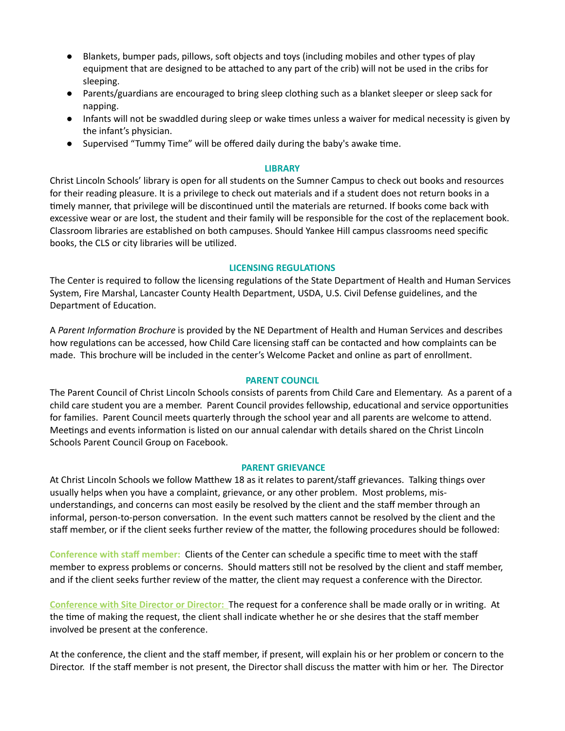- Blankets, bumper pads, pillows, soft objects and toys (including mobiles and other types of play equipment that are designed to be attached to any part of the crib) will not be used in the cribs for sleeping.
- Parents/guardians are encouraged to bring sleep clothing such as a blanket sleeper or sleep sack for napping.
- Infants will not be swaddled during sleep or wake times unless a waiver for medical necessity is given by the infant's physician.
- Supervised "Tummy Time" will be offered daily during the baby's awake time.

#### **LIBRARY**

Christ Lincoln Schools' library is open for all students on the Sumner Campus to check out books and resources for their reading pleasure. It is a privilege to check out materials and if a student does not return books in a timely manner, that privilege will be discontinued until the materials are returned. If books come back with excessive wear or are lost, the student and their family will be responsible for the cost of the replacement book. Classroom libraries are established on both campuses. Should Yankee Hill campus classrooms need specific books, the CLS or city libraries will be utilized.

#### **LICENSING REGULATIONS**

The Center is required to follow the licensing regulations of the State Department of Health and Human Services System, Fire Marshal, Lancaster County Health Department, USDA, U.S. Civil Defense guidelines, and the Department of Education.

A Parent *Information Brochure* is provided by the NE Department of Health and Human Services and describes how regulations can be accessed, how Child Care licensing staff can be contacted and how complaints can be made. This brochure will be included in the center's Welcome Packet and online as part of enrollment.

#### **PARENT COUNCIL**

The Parent Council of Christ Lincoln Schools consists of parents from Child Care and Elementary. As a parent of a child care student you are a member. Parent Council provides fellowship, educational and service opportunities for families. Parent Council meets quarterly through the school year and all parents are welcome to attend. Meetings and events information is listed on our annual calendar with details shared on the Christ Lincoln Schools Parent Council Group on Facebook.

#### **PARENT GRIEVANCE**

At Christ Lincoln Schools we follow Matthew 18 as it relates to parent/staff grievances. Talking things over usually helps when you have a complaint, grievance, or any other problem. Most problems, misunderstandings, and concerns can most easily be resolved by the client and the staff member through an informal, person-to-person conversation. In the event such matters cannot be resolved by the client and the staff member, or if the client seeks further review of the matter, the following procedures should be followed:

**Conference with staff member:** Clients of the Center can schedule a specific me to meet with the staff member to express problems or concerns. Should matters still not be resolved by the client and staff member, and if the client seeks further review of the matter, the client may request a conference with the Director.

**Conference with Site Director or Director:** The request for a conference shall be made orally or in wring. At the time of making the request, the client shall indicate whether he or she desires that the staff member involved be present at the conference.

At the conference, the client and the staff member, if present, will explain his or her problem or concern to the Director. If the staff member is not present, the Director shall discuss the matter with him or her. The Director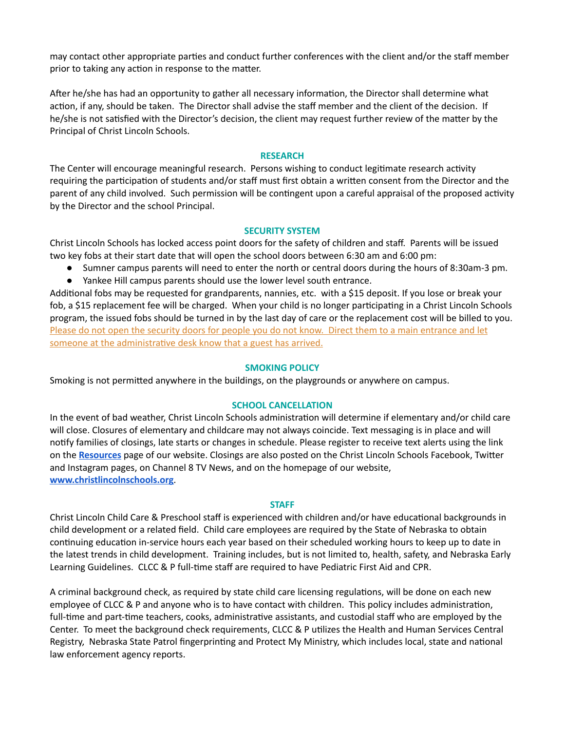may contact other appropriate parties and conduct further conferences with the client and/or the staff member prior to taking any action in response to the matter.

After he/she has had an opportunity to gather all necessary information, the Director shall determine what action, if any, should be taken. The Director shall advise the staff member and the client of the decision. If he/she is not satisfied with the Director's decision, the client may request further review of the matter by the Principal of Christ Lincoln Schools.

#### **RESEARCH**

The Center will encourage meaningful research. Persons wishing to conduct legitimate research activity requiring the participation of students and/or staff must first obtain a written consent from the Director and the parent of any child involved. Such permission will be contingent upon a careful appraisal of the proposed activity by the Director and the school Principal.

#### **SECURITY SYSTEM**

Christ Lincoln Schools has locked access point doors for the safety of children and staff. Parents will be issued two key fobs at their start date that will open the school doors between 6:30 am and 6:00 pm:

- Sumner campus parents will need to enter the north or central doors during the hours of 8:30am-3 pm.
- Yankee Hill campus parents should use the lower level south entrance.

Additional fobs may be requested for grandparents, nannies, etc. with a \$15 deposit. If you lose or break your fob, a \$15 replacement fee will be charged. When your child is no longer participating in a Christ Lincoln Schools program, the issued fobs should be turned in by the last day of care or the replacement cost will be billed to you. Please do not open the security doors for people you do not know. Direct them to a main entrance and let someone at the administrative desk know that a guest has arrived.

#### **SMOKING POLICY**

Smoking is not permitted anywhere in the buildings, on the playgrounds or anywhere on campus.

#### **SCHOOL CANCELLATION**

In the event of bad weather, Christ Lincoln Schools administration will determine if elementary and/or child care will close. Closures of elementary and childcare may not always coincide. Text messaging is in place and will notify families of closings, late starts or changes in schedule. Please register to receive text alerts using the link on the **[Resources](https://www.christlincolnschools.org/resources/)** page of our website. Closings are also posted on the Christ Lincoln Schools Facebook, Twitter and Instagram pages, on Channel 8 TV News, and on the homepage of our website, **[www.christlincolnschools.org](http://www.christlincolnschools.org/)**.

#### **STAFF**

Christ Lincoln Child Care & Preschool staff is experienced with children and/or have educational backgrounds in child development or a related field. Child care employees are required by the State of Nebraska to obtain continuing education in-service hours each year based on their scheduled working hours to keep up to date in the latest trends in child development. Training includes, but is not limited to, health, safety, and Nebraska Early Learning Guidelines. CLCC & P full-time staff are required to have Pediatric First Aid and CPR.

A criminal background check, as required by state child care licensing regulations, will be done on each new employee of CLCC & P and anyone who is to have contact with children. This policy includes administration, full-time and part-time teachers, cooks, administrative assistants, and custodial staff who are employed by the Center. To meet the background check requirements, CLCC & P utilizes the Health and Human Services Central Registry, Nebraska State Patrol fingerprinting and Protect My Ministry, which includes local, state and national law enforcement agency reports.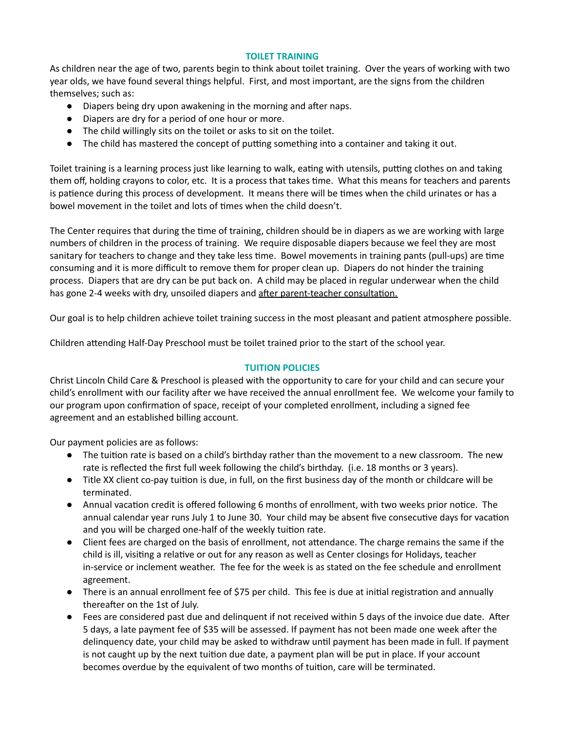#### **TOILET TRAINING**

As children near the age of two, parents begin to think about toilet training. Over the years of working with two year olds, we have found several things helpful. First, and most important, are the signs from the children themselves; such as:

- Diapers being dry upon awakening in the morning and after naps.
- Diapers are dry for a period of one hour or more.
- The child willingly sits on the toilet or asks to sit on the toilet.
- The child has mastered the concept of putting something into a container and taking it out.

Toilet training is a learning process just like learning to walk, eating with utensils, putting clothes on and taking them off, holding crayons to color, etc. It is a process that takes time. What this means for teachers and parents is patience during this process of development. It means there will be times when the child urinates or has a bowel movement in the toilet and lots of times when the child doesn't.

The Center requires that during the time of training, children should be in diapers as we are working with large numbers of children in the process of training. We require disposable diapers because we feel they are most sanitary for teachers to change and they take less time. Bowel movements in training pants (pull-ups) are time consuming and it is more difficult to remove them for proper clean up. Diapers do not hinder the training process. Diapers that are dry can be put back on. A child may be placed in regular underwear when the child has gone 2-4 weeks with dry, unsoiled diapers and after parent-teacher consultation.

Our goal is to help children achieve toilet training success in the most pleasant and patient atmosphere possible.

Children attending Half-Day Preschool must be toilet trained prior to the start of the school year.

#### **TUITION POLICIES**

Christ Lincoln Child Care & Preschool is pleased with the opportunity to care for your child and can secure your child's enrollment with our facility after we have received the annual enrollment fee. We welcome your family to our program upon confirmation of space, receipt of your completed enrollment, including a signed fee agreement and an established billing account.

Our payment policies are as follows:

- The tuition rate is based on a child's birthday rather than the movement to a new classroom. The new rate is reflected the first full week following the child's birthday. (i.e. 18 months or 3 years).
- Title XX client co-pay tuion is due, in full, on the first business day of the month or childcare will be terminated.
- Annual vacation credit is offered following 6 months of enrollment, with two weeks prior notice. The annual calendar year runs July 1 to June 30. Your child may be absent five consecutive days for vacation and you will be charged one-half of the weekly tuition rate.
- Client fees are charged on the basis of enrollment, not attendance. The charge remains the same if the child is ill, visiting a relative or out for any reason as well as Center closings for Holidays, teacher in-service or inclement weather. The fee for the week is as stated on the fee schedule and enrollment agreement.
- There is an annual enrollment fee of \$75 per child. This fee is due at initial registration and annually thereafter on the 1st of July.
- Fees are considered past due and delinquent if not received within 5 days of the invoice due date. After 5 days, a late payment fee of \$35 will be assessed. If payment has not been made one week after the delinquency date, your child may be asked to withdraw until payment has been made in full. If payment is not caught up by the next tuition due date, a payment plan will be put in place. If your account becomes overdue by the equivalent of two months of tuition, care will be terminated.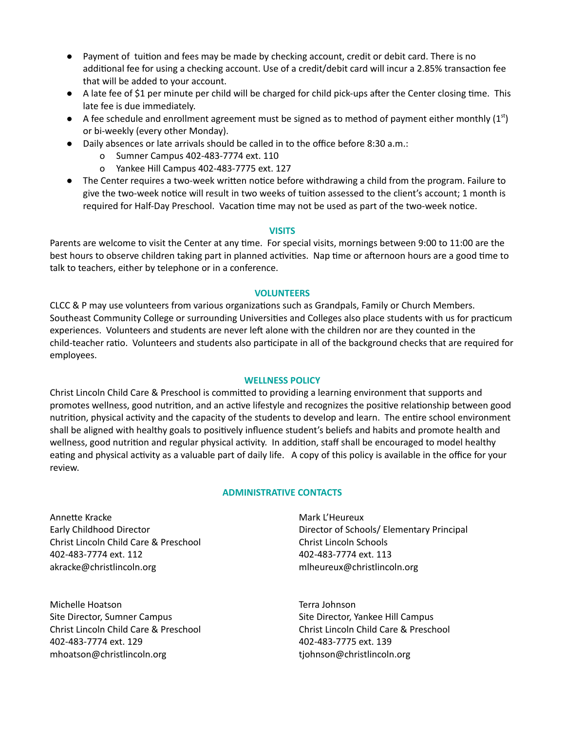- Payment of tuition and fees may be made by checking account, credit or debit card. There is no additional fee for using a checking account. Use of a credit/debit card will incur a 2.85% transaction fee that will be added to your account.
- A late fee of \$1 per minute per child will be charged for child pick-ups after the Center closing time. This late fee is due immediately.
- $\bullet$  A fee schedule and enrollment agreement must be signed as to method of payment either monthly (1st) or bi-weekly (every other Monday).
- Daily absences or late arrivals should be called in to the office before 8:30 a.m.:
	- o Sumner Campus 402-483-7774 ext. 110
	- o Yankee Hill Campus 402-483-7775 ext. 127
- The Center requires a two-week written notice before withdrawing a child from the program. Failure to give the two-week notice will result in two weeks of tuition assessed to the client's account; 1 month is required for Half-Day Preschool. Vacation time may not be used as part of the two-week notice.

#### **VISITS**

Parents are welcome to visit the Center at any time. For special visits, mornings between 9:00 to 11:00 are the best hours to observe children taking part in planned activities. Nap time or afternoon hours are a good time to talk to teachers, either by telephone or in a conference.

#### **VOLUNTEERS**

CLCC & P may use volunteers from various organizations such as Grandpals, Family or Church Members. Southeast Community College or surrounding Universities and Colleges also place students with us for practicum experiences. Volunteers and students are never left alone with the children nor are they counted in the child-teacher ratio. Volunteers and students also participate in all of the background checks that are required for employees.

#### **WELLNESS POLICY**

Christ Lincoln Child Care & Preschool is committed to providing a learning environment that supports and promotes wellness, good nutrition, and an active lifestyle and recognizes the positive relationship between good nutrition, physical activity and the capacity of the students to develop and learn. The entire school environment shall be aligned with healthy goals to positively influence student's beliefs and habits and promote health and wellness, good nutrition and regular physical activity. In addition, staff shall be encouraged to model healthy eating and physical activity as a valuable part of daily life. A copy of this policy is available in the office for your review.

#### **ADMINISTRATIVE CONTACTS**

Annette Kracke Early Childhood Director Christ Lincoln Child Care & Preschool 402-483-7774 ext. 112 akracke@christlincoln.org

Michelle Hoatson Site Director, Sumner Campus Christ Lincoln Child Care & Preschool 402-483-7774 ext. 129 mhoatson@christlincoln.org

Mark L'Heureux Director of Schools/ Elementary Principal Christ Lincoln Schools 402-483-7774 ext. 113 mlheureux@christlincoln.org

Terra Johnson Site Director, Yankee Hill Campus Christ Lincoln Child Care & Preschool 402-483-7775 ext. 139 tjohnson@christlincoln.org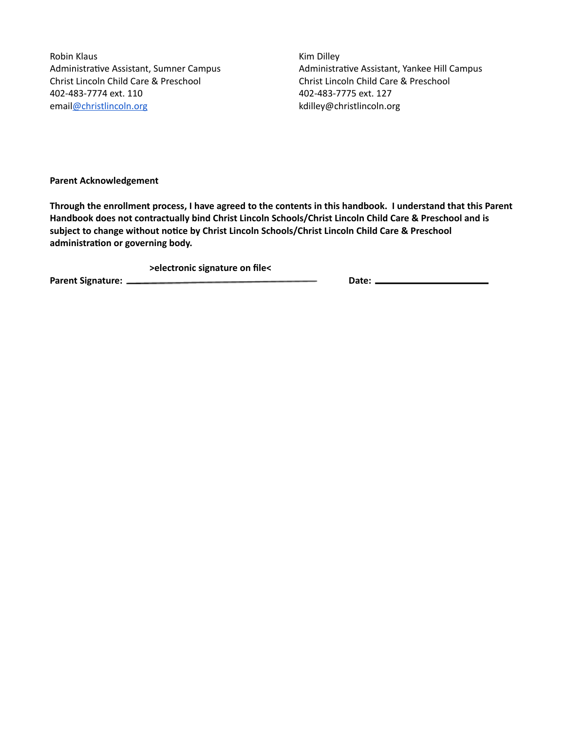Robin Klaus Administrative Assistant, Sumner Campus Christ Lincoln Child Care & Preschool 402-483-7774 ext. 110 email[@christlincoln.org](mailto:kdilley@christlincoln.org)

Kim Dilley Administrative Assistant, Yankee Hill Campus Christ Lincoln Child Care & Preschool 402-483-7775 ext. 127 kdilley@christlincoln.org

**Parent Acknowledgement**

Through the enrollment process, I have agreed to the contents in this handbook. I understand that this Parent **Handbook does not contractually bind Christ Lincoln Schools/Christ Lincoln Child Care & Preschool and is subject to change without noce by Christ Lincoln Schools/Christ Lincoln Child Care & Preschool administration or governing body.** 

**>electronic signature on file<**

**Parent Signature: Date:**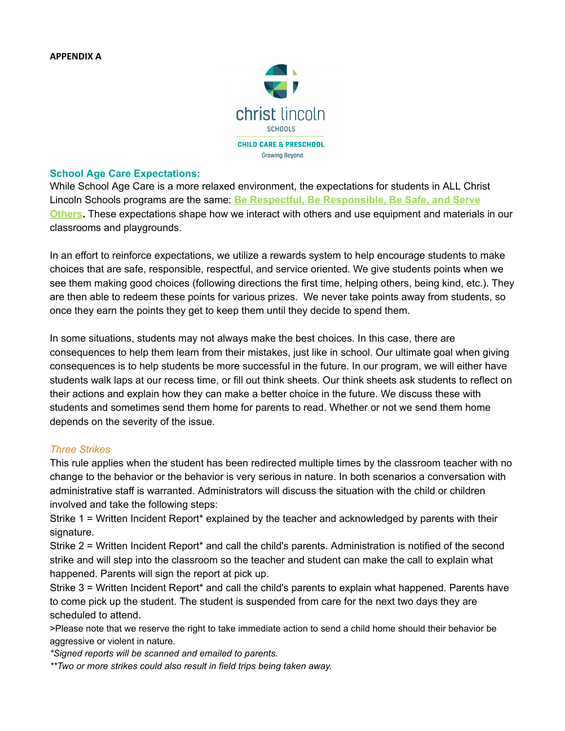

## **School Age Care Expectations:**

While School Age Care is a more relaxed environment, the expectations for students in ALL Christ Lincoln Schools programs are the same: **Be Respectful, Be Responsible, Be Safe, and Serve Others.** These expectations shape how we interact with others and use equipment and materials in our classrooms and playgrounds.

In an effort to reinforce expectations, we utilize a rewards system to help encourage students to make choices that are safe, responsible, respectful, and service oriented. We give students points when we see them making good choices (following directions the first time, helping others, being kind, etc.). They are then able to redeem these points for various prizes. We never take points away from students, so once they earn the points they get to keep them until they decide to spend them.

In some situations, students may not always make the best choices. In this case, there are consequences to help them learn from their mistakes, just like in school. Our ultimate goal when giving consequences is to help students be more successful in the future. In our program, we will either have students walk laps at our recess time, or fill out think sheets. Our think sheets ask students to reflect on their actions and explain how they can make a better choice in the future. We discuss these with students and sometimes send them home for parents to read. Whether or not we send them home depends on the severity of the issue.

# *Three Strikes*

This rule applies when the student has been redirected multiple times by the classroom teacher with no change to the behavior or the behavior is very serious in nature. In both scenarios a conversation with administrative staff is warranted. Administrators will discuss the situation with the child or children involved and take the following steps:

Strike 1 = Written Incident Report\* explained by the teacher and acknowledged by parents with their signature.

Strike 2 = Written Incident Report\* and call the child's parents. Administration is notified of the second strike and will step into the classroom so the teacher and student can make the call to explain what happened. Parents will sign the report at pick up.

Strike 3 = Written Incident Report\* and call the child's parents to explain what happened. Parents have to come pick up the student. The student is suspended from care for the next two days they are scheduled to attend.

>Please note that we reserve the right to take immediate action to send a child home should their behavior be aggressive or violent in nature.

*\*Signed reports will be scanned and emailed to parents.*

*\*\*Two or more strikes could also result in field trips being taken away.*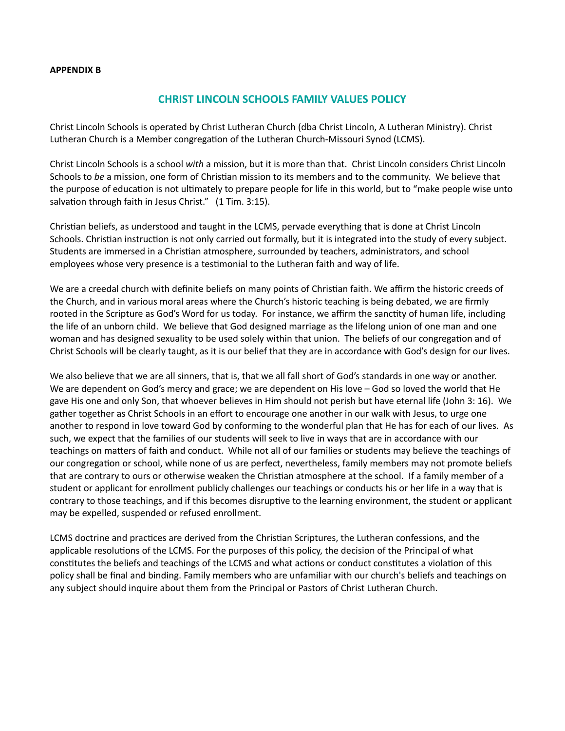#### **APPENDIX B**

# **CHRIST LINCOLN SCHOOLS FAMILY VALUES POLICY**

Christ Lincoln Schools is operated by Christ Lutheran Church (dba Christ Lincoln, A Lutheran Ministry). Christ Lutheran Church is a Member congregation of the Lutheran Church-Missouri Synod (LCMS).

Christ Lincoln Schools is a school *with* a mission, but it is more than that. Christ Lincoln considers Christ Lincoln Schools to *be* a mission, one form of Christian mission to its members and to the community. We believe that the purpose of education is not ultimately to prepare people for life in this world, but to "make people wise unto salvation through faith in Jesus Christ." (1 Tim. 3:15).

Christian beliefs, as understood and taught in the LCMS, pervade everything that is done at Christ Lincoln Schools. Christian instruction is not only carried out formally, but it is integrated into the study of every subject. Students are immersed in a Christian atmosphere, surrounded by teachers, administrators, and school employees whose very presence is a testimonial to the Lutheran faith and way of life.

We are a creedal church with definite beliefs on many points of Christian faith. We affirm the historic creeds of the Church, and in various moral areas where the Church's historic teaching is being debated, we are firmly rooted in the Scripture as God's Word for us today. For instance, we affirm the sanctity of human life, including the life of an unborn child. We believe that God designed marriage as the lifelong union of one man and one woman and has designed sexuality to be used solely within that union. The beliefs of our congregation and of Christ Schools will be clearly taught, as it is our belief that they are in accordance with God's design for our lives.

We also believe that we are all sinners, that is, that we all fall short of God's standards in one way or another. We are dependent on God's mercy and grace; we are dependent on His love – God so loved the world that He gave His one and only Son, that whoever believes in Him should not perish but have eternal life (John 3: 16). We gather together as Christ Schools in an effort to encourage one another in our walk with Jesus, to urge one another to respond in love toward God by conforming to the wonderful plan that He has for each of our lives. As such, we expect that the families of our students will seek to live in ways that are in accordance with our teachings on matters of faith and conduct. While not all of our families or students may believe the teachings of our congregation or school, while none of us are perfect, nevertheless, family members may not promote beliefs that are contrary to ours or otherwise weaken the Christian atmosphere at the school. If a family member of a student or applicant for enrollment publicly challenges our teachings or conducts his or her life in a way that is contrary to those teachings, and if this becomes disruptive to the learning environment, the student or applicant may be expelled, suspended or refused enrollment.

LCMS doctrine and practices are derived from the Christian Scriptures, the Lutheran confessions, and the applicable resolutions of the LCMS. For the purposes of this policy, the decision of the Principal of what constitutes the beliefs and teachings of the LCMS and what actions or conduct constitutes a violation of this policy shall be final and binding. Family members who are unfamiliar with our church's beliefs and teachings on any subject should inquire about them from the Principal or Pastors of Christ Lutheran Church.